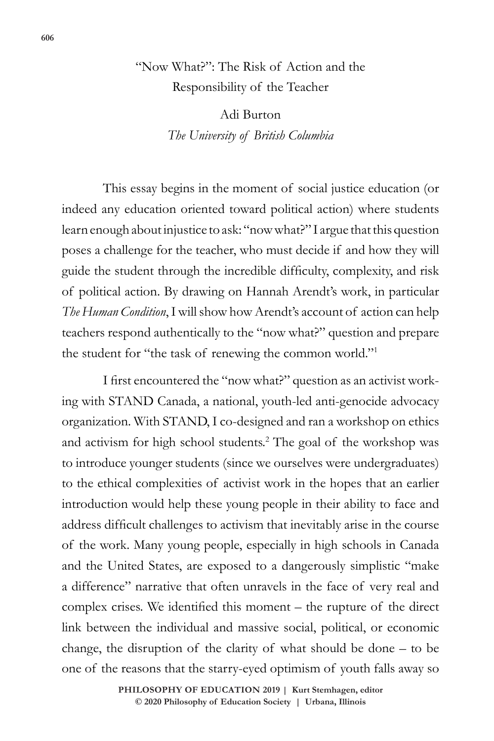# "Now What?": The Risk of Action and the Responsibility of the Teacher

Adi Burton *The University of British Columbia*

This essay begins in the moment of social justice education (or indeed any education oriented toward political action) where students learn enough about injustice to ask: "now what?" I argue that this question poses a challenge for the teacher, who must decide if and how they will guide the student through the incredible difficulty, complexity, and risk of political action. By drawing on Hannah Arendt's work, in particular *The Human Condition*, I will show how Arendt's account of action can help teachers respond authentically to the "now what?" question and prepare the student for "the task of renewing the common world."1

I first encountered the "now what?" question as an activist working with STAND Canada, a national, youth-led anti-genocide advocacy organization. With STAND, I co-designed and ran a workshop on ethics and activism for high school students.<sup>2</sup> The goal of the workshop was to introduce younger students (since we ourselves were undergraduates) to the ethical complexities of activist work in the hopes that an earlier introduction would help these young people in their ability to face and address difficult challenges to activism that inevitably arise in the course of the work. Many young people, especially in high schools in Canada and the United States, are exposed to a dangerously simplistic "make a difference" narrative that often unravels in the face of very real and complex crises. We identified this moment – the rupture of the direct link between the individual and massive social, political, or economic change, the disruption of the clarity of what should be done – to be one of the reasons that the starry-eyed optimism of youth falls away so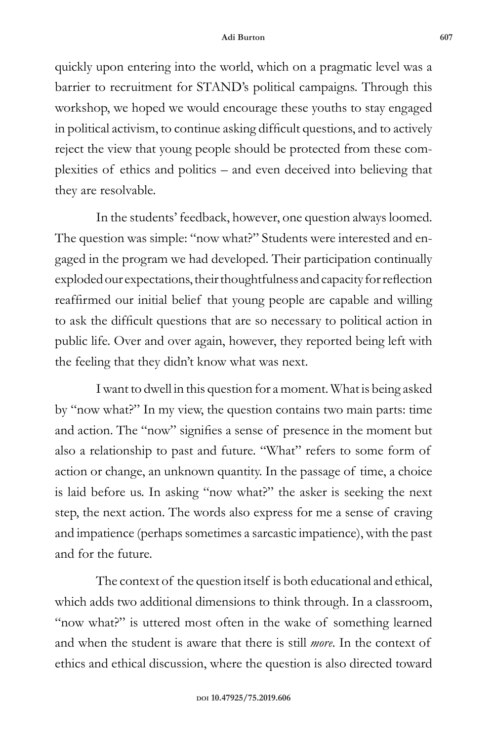quickly upon entering into the world, which on a pragmatic level was a barrier to recruitment for STAND's political campaigns. Through this workshop, we hoped we would encourage these youths to stay engaged in political activism, to continue asking difficult questions, and to actively reject the view that young people should be protected from these complexities of ethics and politics – and even deceived into believing that they are resolvable.

In the students' feedback, however, one question always loomed. The question was simple: "now what?" Students were interested and engaged in the program we had developed. Their participation continually exploded our expectations, their thoughtfulness and capacity for reflection reaffirmed our initial belief that young people are capable and willing to ask the difficult questions that are so necessary to political action in public life. Over and over again, however, they reported being left with the feeling that they didn't know what was next.

I want to dwell in this question for a moment. What is being asked by "now what?" In my view, the question contains two main parts: time and action. The "now" signifies a sense of presence in the moment but also a relationship to past and future. "What" refers to some form of action or change, an unknown quantity. In the passage of time, a choice is laid before us. In asking "now what?" the asker is seeking the next step, the next action. The words also express for me a sense of craving and impatience (perhaps sometimes a sarcastic impatience), with the past and for the future.

The context of the question itself is both educational and ethical, which adds two additional dimensions to think through. In a classroom, "now what?" is uttered most often in the wake of something learned and when the student is aware that there is still *more*. In the context of ethics and ethical discussion, where the question is also directed toward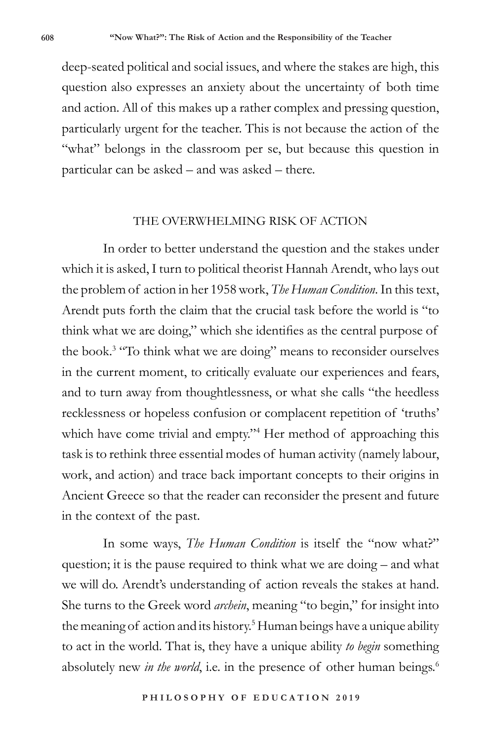deep-seated political and social issues, and where the stakes are high, this question also expresses an anxiety about the uncertainty of both time and action. All of this makes up a rather complex and pressing question, particularly urgent for the teacher. This is not because the action of the "what" belongs in the classroom per se, but because this question in particular can be asked – and was asked – there.

#### THE OVERWHELMING RISK OF ACTION

In order to better understand the question and the stakes under which it is asked, I turn to political theorist Hannah Arendt, who lays out the problem of action in her 1958 work, *The Human Condition*. In this text, Arendt puts forth the claim that the crucial task before the world is "to think what we are doing," which she identifies as the central purpose of the book.3 "To think what we are doing" means to reconsider ourselves in the current moment, to critically evaluate our experiences and fears, and to turn away from thoughtlessness, or what she calls "the heedless recklessness or hopeless confusion or complacent repetition of 'truths' which have come trivial and empty."<sup>4</sup> Her method of approaching this task is to rethink three essential modes of human activity (namely labour, work, and action) and trace back important concepts to their origins in Ancient Greece so that the reader can reconsider the present and future in the context of the past.

In some ways, *The Human Condition* is itself the "now what?" question; it is the pause required to think what we are doing – and what we will do. Arendt's understanding of action reveals the stakes at hand. She turns to the Greek word *archein*, meaning "to begin," for insight into the meaning of action and its history.<sup>5</sup> Human beings have a unique ability to act in the world. That is, they have a unique ability *to begin* something absolutely new *in the world*, i.e. in the presence of other human beings.<sup>6</sup>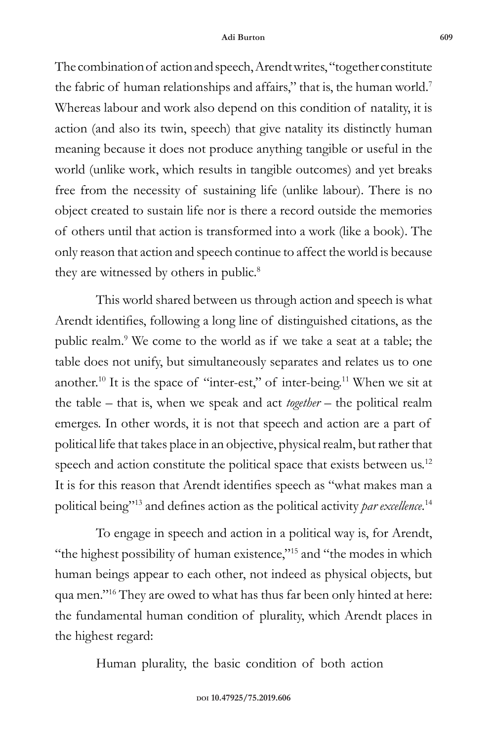The combination of action and speech, Arendt writes, "together constitute the fabric of human relationships and affairs," that is, the human world.<sup>7</sup> Whereas labour and work also depend on this condition of natality, it is action (and also its twin, speech) that give natality its distinctly human meaning because it does not produce anything tangible or useful in the world (unlike work, which results in tangible outcomes) and yet breaks free from the necessity of sustaining life (unlike labour). There is no object created to sustain life nor is there a record outside the memories of others until that action is transformed into a work (like a book). The only reason that action and speech continue to affect the world is because they are witnessed by others in public.<sup>8</sup>

This world shared between us through action and speech is what Arendt identifies, following a long line of distinguished citations, as the public realm.<sup>9</sup> We come to the world as if we take a seat at a table; the table does not unify, but simultaneously separates and relates us to one another.10 It is the space of "inter-est," of inter-being.11 When we sit at the table – that is, when we speak and act *together* – the political realm emerges. In other words, it is not that speech and action are a part of political life that takes place in an objective, physical realm, but rather that speech and action constitute the political space that exists between us.<sup>12</sup> It is for this reason that Arendt identifies speech as "what makes man a political being"13 and defines action as the political activity *par excellence*. 14

To engage in speech and action in a political way is, for Arendt, "the highest possibility of human existence,"<sup>15</sup> and "the modes in which human beings appear to each other, not indeed as physical objects, but qua men."16 They are owed to what has thus far been only hinted at here: the fundamental human condition of plurality, which Arendt places in the highest regard:

Human plurality, the basic condition of both action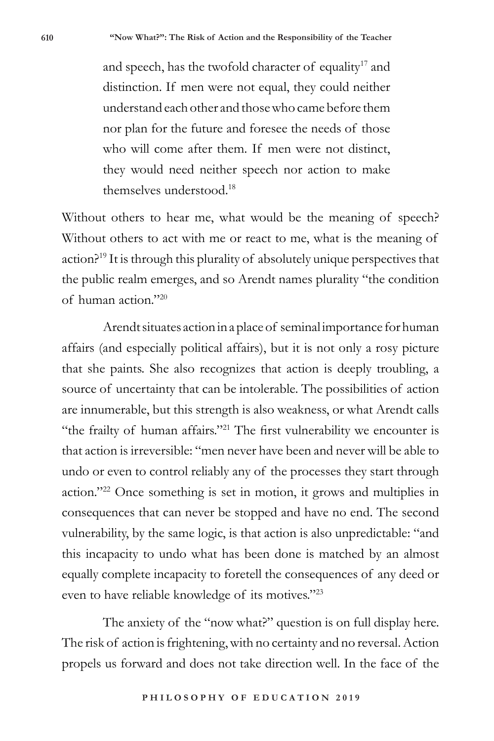and speech, has the twofold character of equality<sup>17</sup> and distinction. If men were not equal, they could neither understand each other and those who came before them nor plan for the future and foresee the needs of those who will come after them. If men were not distinct, they would need neither speech nor action to make themselves understood.<sup>18</sup>

Without others to hear me, what would be the meaning of speech? Without others to act with me or react to me, what is the meaning of action?19 It is through this plurality of absolutely unique perspectives that the public realm emerges, and so Arendt names plurality "the condition of human action."20

Arendt situates action in a place of seminal importance for human affairs (and especially political affairs), but it is not only a rosy picture that she paints. She also recognizes that action is deeply troubling, a source of uncertainty that can be intolerable. The possibilities of action are innumerable, but this strength is also weakness, or what Arendt calls "the frailty of human affairs."21 The first vulnerability we encounter is that action is irreversible: "men never have been and never will be able to undo or even to control reliably any of the processes they start through action."22 Once something is set in motion, it grows and multiplies in consequences that can never be stopped and have no end. The second vulnerability, by the same logic, is that action is also unpredictable: "and this incapacity to undo what has been done is matched by an almost equally complete incapacity to foretell the consequences of any deed or even to have reliable knowledge of its motives."<sup>23</sup>

The anxiety of the "now what?" question is on full display here. The risk of action is frightening, with no certainty and no reversal. Action propels us forward and does not take direction well. In the face of the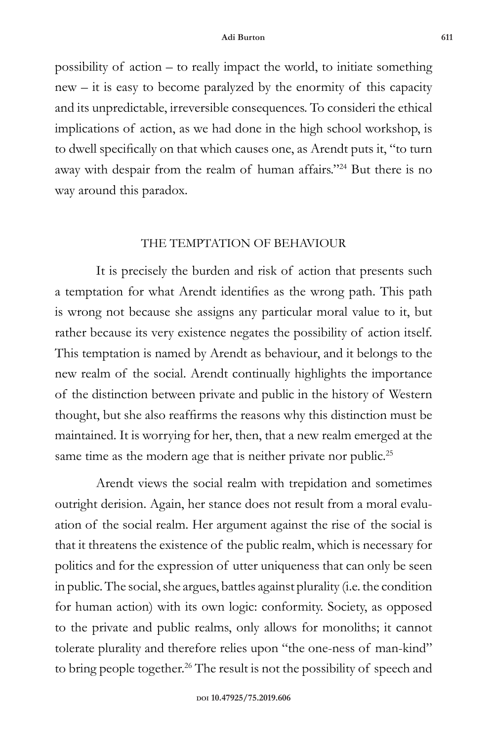possibility of action – to really impact the world, to initiate something new – it is easy to become paralyzed by the enormity of this capacity and its unpredictable, irreversible consequences. To consideri the ethical implications of action, as we had done in the high school workshop, is to dwell specifically on that which causes one, as Arendt puts it, "to turn away with despair from the realm of human affairs."24 But there is no way around this paradox.

## THE TEMPTATION OF BEHAVIOUR

It is precisely the burden and risk of action that presents such a temptation for what Arendt identifies as the wrong path. This path is wrong not because she assigns any particular moral value to it, but rather because its very existence negates the possibility of action itself. This temptation is named by Arendt as behaviour, and it belongs to the new realm of the social. Arendt continually highlights the importance of the distinction between private and public in the history of Western thought, but she also reaffirms the reasons why this distinction must be maintained. It is worrying for her, then, that a new realm emerged at the same time as the modern age that is neither private nor public.<sup>25</sup>

Arendt views the social realm with trepidation and sometimes outright derision. Again, her stance does not result from a moral evaluation of the social realm. Her argument against the rise of the social is that it threatens the existence of the public realm, which is necessary for politics and for the expression of utter uniqueness that can only be seen in public. The social, she argues, battles against plurality (i.e. the condition for human action) with its own logic: conformity. Society, as opposed to the private and public realms, only allows for monoliths; it cannot tolerate plurality and therefore relies upon "the one-ness of man-kind" to bring people together.<sup>26</sup> The result is not the possibility of speech and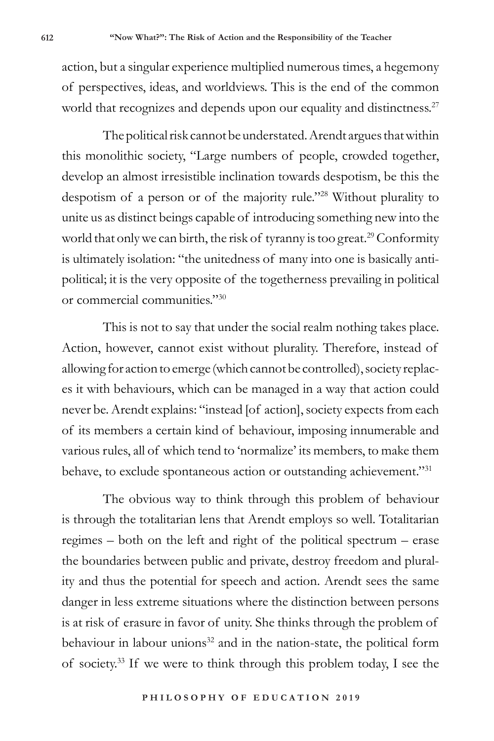action, but a singular experience multiplied numerous times, a hegemony of perspectives, ideas, and worldviews. This is the end of the common world that recognizes and depends upon our equality and distinctness.<sup>27</sup>

The political risk cannot be understated. Arendt argues that within this monolithic society, "Large numbers of people, crowded together, develop an almost irresistible inclination towards despotism, be this the despotism of a person or of the majority rule."28 Without plurality to unite us as distinct beings capable of introducing something new into the world that only we can birth, the risk of tyranny is too great.<sup>29</sup> Conformity is ultimately isolation: "the unitedness of many into one is basically antipolitical; it is the very opposite of the togetherness prevailing in political or commercial communities."30

This is not to say that under the social realm nothing takes place. Action, however, cannot exist without plurality. Therefore, instead of allowing for action to emerge (which cannot be controlled), society replaces it with behaviours, which can be managed in a way that action could never be. Arendt explains: "instead [of action], society expects from each of its members a certain kind of behaviour, imposing innumerable and various rules, all of which tend to 'normalize' its members, to make them behave, to exclude spontaneous action or outstanding achievement."31

The obvious way to think through this problem of behaviour is through the totalitarian lens that Arendt employs so well. Totalitarian regimes – both on the left and right of the political spectrum – erase the boundaries between public and private, destroy freedom and plurality and thus the potential for speech and action. Arendt sees the same danger in less extreme situations where the distinction between persons is at risk of erasure in favor of unity. She thinks through the problem of behaviour in labour unions $32$  and in the nation-state, the political form of society.33 If we were to think through this problem today, I see the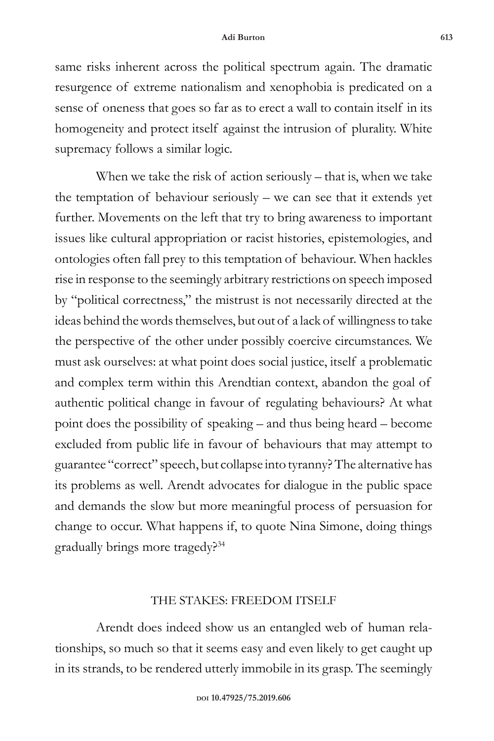same risks inherent across the political spectrum again. The dramatic resurgence of extreme nationalism and xenophobia is predicated on a sense of oneness that goes so far as to erect a wall to contain itself in its homogeneity and protect itself against the intrusion of plurality. White supremacy follows a similar logic.

When we take the risk of action seriously – that is, when we take the temptation of behaviour seriously – we can see that it extends yet further. Movements on the left that try to bring awareness to important issues like cultural appropriation or racist histories, epistemologies, and ontologies often fall prey to this temptation of behaviour. When hackles rise in response to the seemingly arbitrary restrictions on speech imposed by "political correctness," the mistrust is not necessarily directed at the ideas behind the words themselves, but out of a lack of willingness to take the perspective of the other under possibly coercive circumstances. We must ask ourselves: at what point does social justice, itself a problematic and complex term within this Arendtian context, abandon the goal of authentic political change in favour of regulating behaviours? At what point does the possibility of speaking – and thus being heard – become excluded from public life in favour of behaviours that may attempt to guarantee "correct" speech, but collapse into tyranny? The alternative has its problems as well. Arendt advocates for dialogue in the public space and demands the slow but more meaningful process of persuasion for change to occur. What happens if, to quote Nina Simone, doing things gradually brings more tragedy?34

#### THE STAKES: FREEDOM ITSELF

Arendt does indeed show us an entangled web of human relationships, so much so that it seems easy and even likely to get caught up in its strands, to be rendered utterly immobile in its grasp. The seemingly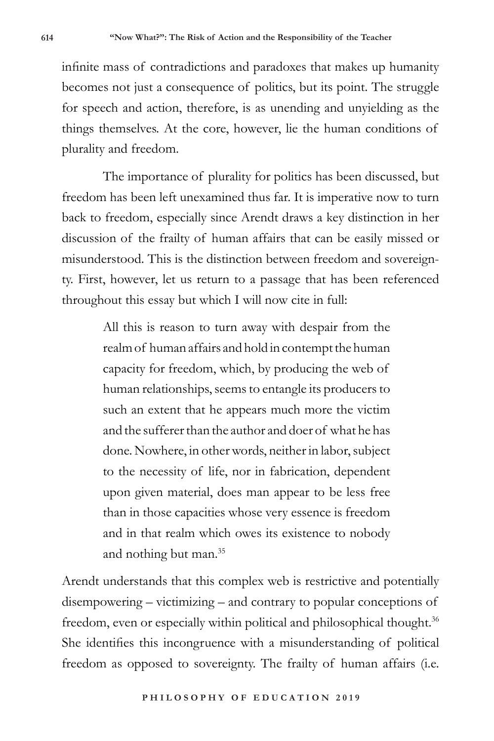infinite mass of contradictions and paradoxes that makes up humanity becomes not just a consequence of politics, but its point. The struggle for speech and action, therefore, is as unending and unyielding as the things themselves. At the core, however, lie the human conditions of plurality and freedom.

The importance of plurality for politics has been discussed, but freedom has been left unexamined thus far. It is imperative now to turn back to freedom, especially since Arendt draws a key distinction in her discussion of the frailty of human affairs that can be easily missed or misunderstood. This is the distinction between freedom and sovereignty. First, however, let us return to a passage that has been referenced throughout this essay but which I will now cite in full:

> All this is reason to turn away with despair from the realm of human affairs and hold in contempt the human capacity for freedom, which, by producing the web of human relationships, seems to entangle its producers to such an extent that he appears much more the victim and the sufferer than the author and doer of what he has done. Nowhere, in other words, neither in labor, subject to the necessity of life, nor in fabrication, dependent upon given material, does man appear to be less free than in those capacities whose very essence is freedom and in that realm which owes its existence to nobody and nothing but man.35

Arendt understands that this complex web is restrictive and potentially disempowering – victimizing – and contrary to popular conceptions of freedom, even or especially within political and philosophical thought.<sup>36</sup> She identifies this incongruence with a misunderstanding of political freedom as opposed to sovereignty. The frailty of human affairs (i.e.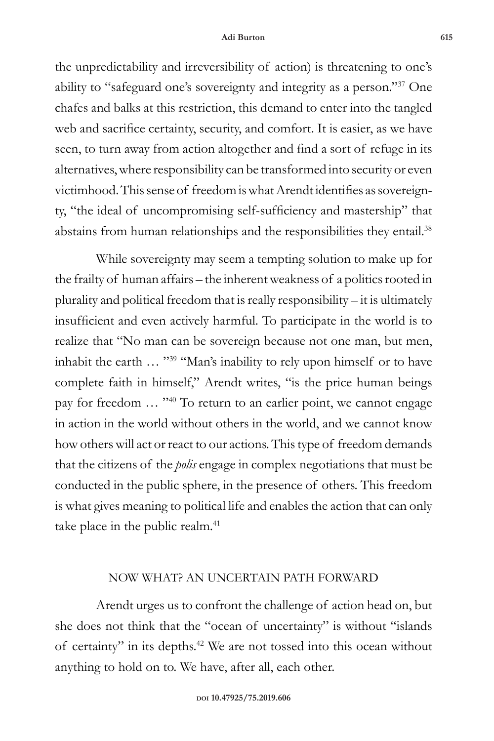the unpredictability and irreversibility of action) is threatening to one's ability to "safeguard one's sovereignty and integrity as a person."37 One chafes and balks at this restriction, this demand to enter into the tangled web and sacrifice certainty, security, and comfort. It is easier, as we have seen, to turn away from action altogether and find a sort of refuge in its alternatives, where responsibility can be transformed into security or even victimhood. This sense of freedom is what Arendt identifies as sovereignty, "the ideal of uncompromising self-sufficiency and mastership" that abstains from human relationships and the responsibilities they entail.<sup>38</sup>

While sovereignty may seem a tempting solution to make up for the frailty of human affairs – the inherent weakness of a politics rooted in plurality and political freedom that is really responsibility – it is ultimately insufficient and even actively harmful. To participate in the world is to realize that "No man can be sovereign because not one man, but men, inhabit the earth … "39 "Man's inability to rely upon himself or to have complete faith in himself," Arendt writes, "is the price human beings pay for freedom … "40 To return to an earlier point, we cannot engage in action in the world without others in the world, and we cannot know how others will act or react to our actions. This type of freedom demands that the citizens of the *polis* engage in complex negotiations that must be conducted in the public sphere, in the presence of others. This freedom is what gives meaning to political life and enables the action that can only take place in the public realm.<sup>41</sup>

## NOW WHAT? AN UNCERTAIN PATH FORWARD

Arendt urges us to confront the challenge of action head on, but she does not think that the "ocean of uncertainty" is without "islands of certainty" in its depths.42 We are not tossed into this ocean without anything to hold on to. We have, after all, each other.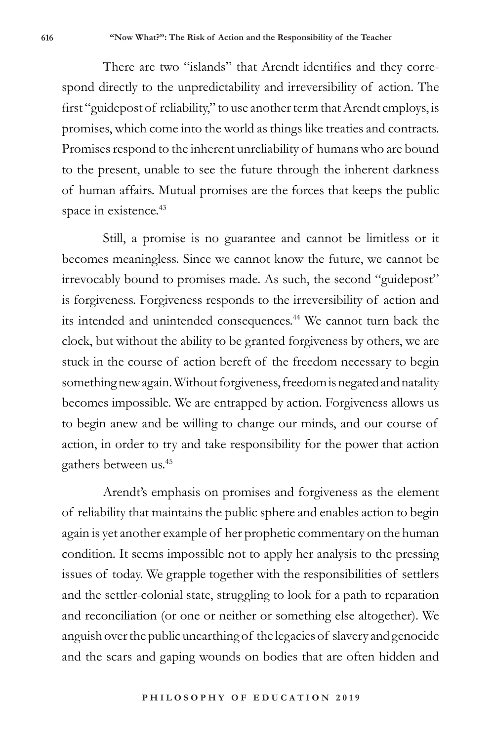There are two "islands" that Arendt identifies and they correspond directly to the unpredictability and irreversibility of action. The first "guidepost of reliability," to use another term that Arendt employs, is promises, which come into the world as things like treaties and contracts. Promises respond to the inherent unreliability of humans who are bound to the present, unable to see the future through the inherent darkness of human affairs. Mutual promises are the forces that keeps the public space in existence.<sup>43</sup>

Still, a promise is no guarantee and cannot be limitless or it becomes meaningless. Since we cannot know the future, we cannot be irrevocably bound to promises made. As such, the second "guidepost" is forgiveness. Forgiveness responds to the irreversibility of action and its intended and unintended consequences.<sup>44</sup> We cannot turn back the clock, but without the ability to be granted forgiveness by others, we are stuck in the course of action bereft of the freedom necessary to begin something new again. Without forgiveness, freedom is negated and natality becomes impossible. We are entrapped by action. Forgiveness allows us to begin anew and be willing to change our minds, and our course of action, in order to try and take responsibility for the power that action gathers between us.45

Arendt's emphasis on promises and forgiveness as the element of reliability that maintains the public sphere and enables action to begin again is yet another example of her prophetic commentary on the human condition. It seems impossible not to apply her analysis to the pressing issues of today. We grapple together with the responsibilities of settlers and the settler-colonial state, struggling to look for a path to reparation and reconciliation (or one or neither or something else altogether). We anguish over the public unearthing of the legacies of slavery and genocide and the scars and gaping wounds on bodies that are often hidden and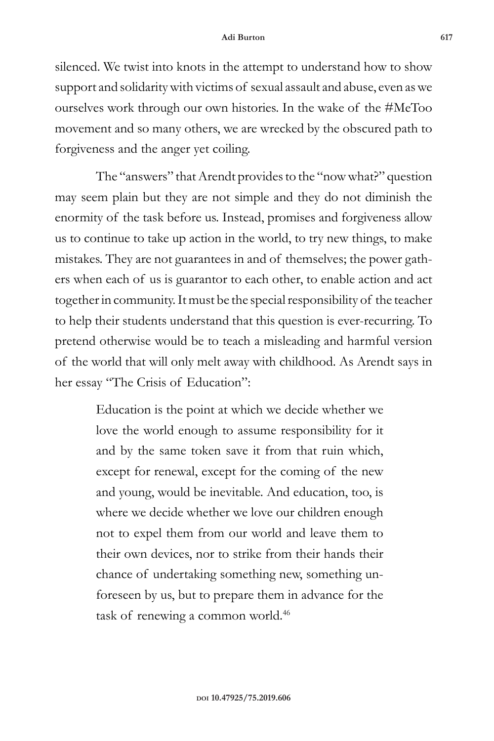silenced. We twist into knots in the attempt to understand how to show support and solidarity with victims of sexual assault and abuse, even as we ourselves work through our own histories. In the wake of the #MeToo movement and so many others, we are wrecked by the obscured path to forgiveness and the anger yet coiling.

The "answers" that Arendt provides to the "now what?" question may seem plain but they are not simple and they do not diminish the enormity of the task before us. Instead, promises and forgiveness allow us to continue to take up action in the world, to try new things, to make mistakes. They are not guarantees in and of themselves; the power gathers when each of us is guarantor to each other, to enable action and act together in community. It must be the special responsibility of the teacher to help their students understand that this question is ever-recurring. To pretend otherwise would be to teach a misleading and harmful version of the world that will only melt away with childhood. As Arendt says in her essay "The Crisis of Education":

> Education is the point at which we decide whether we love the world enough to assume responsibility for it and by the same token save it from that ruin which, except for renewal, except for the coming of the new and young, would be inevitable. And education, too, is where we decide whether we love our children enough not to expel them from our world and leave them to their own devices, nor to strike from their hands their chance of undertaking something new, something unforeseen by us, but to prepare them in advance for the task of renewing a common world.<sup>46</sup>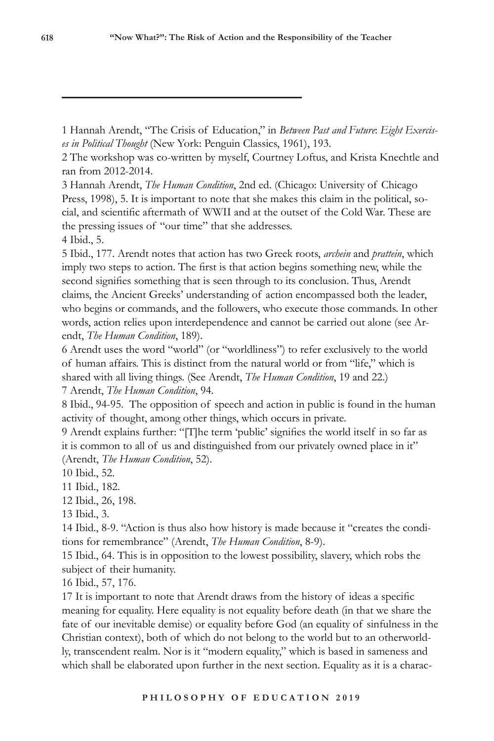1 Hannah Arendt, "The Crisis of Education," in *Between Past and Future*: *Eight Exercises in Political Thought* (New York: Penguin Classics, 1961), 193.

2 The workshop was co-written by myself, Courtney Loftus, and Krista Knechtle and ran from 2012-2014.

3 Hannah Arendt, *The Human Condition*, 2nd ed. (Chicago: University of Chicago Press, 1998), 5. It is important to note that she makes this claim in the political, social, and scientific aftermath of WWII and at the outset of the Cold War. These are the pressing issues of "our time" that she addresses.

4 Ibid., 5.

5 Ibid., 177. Arendt notes that action has two Greek roots, *archein* and *prattein*, which imply two steps to action. The first is that action begins something new, while the second signifies something that is seen through to its conclusion. Thus, Arendt claims, the Ancient Greeks' understanding of action encompassed both the leader, who begins or commands, and the followers, who execute those commands. In other words, action relies upon interdependence and cannot be carried out alone (see Arendt, *The Human Condition*, 189).

6 Arendt uses the word "world" (or "worldliness") to refer exclusively to the world of human affairs. This is distinct from the natural world or from "life," which is shared with all living things. (See Arendt, *The Human Condition*, 19 and 22.) 7 Arendt, *The Human Condition*, 94.

8 Ibid., 94-95. The opposition of speech and action in public is found in the human activity of thought, among other things, which occurs in private.

9 Arendt explains further: "[T]he term 'public' signifies the world itself in so far as it is common to all of us and distinguished from our privately owned place in it" (Arendt, *The Human Condition*, 52).

10 Ibid., 52.

11 Ibid., 182.

12 Ibid., 26, 198.

13 Ibid., 3.

14 Ibid., 8-9. "Action is thus also how history is made because it "creates the conditions for remembrance" (Arendt, *The Human Condition*, 8-9).

15 Ibid., 64. This is in opposition to the lowest possibility, slavery, which robs the subject of their humanity.

16 Ibid., 57, 176.

17 It is important to note that Arendt draws from the history of ideas a specific meaning for equality. Here equality is not equality before death (in that we share the fate of our inevitable demise) or equality before God (an equality of sinfulness in the Christian context), both of which do not belong to the world but to an otherworldly, transcendent realm. Nor is it "modern equality," which is based in sameness and which shall be elaborated upon further in the next section. Equality as it is a charac-